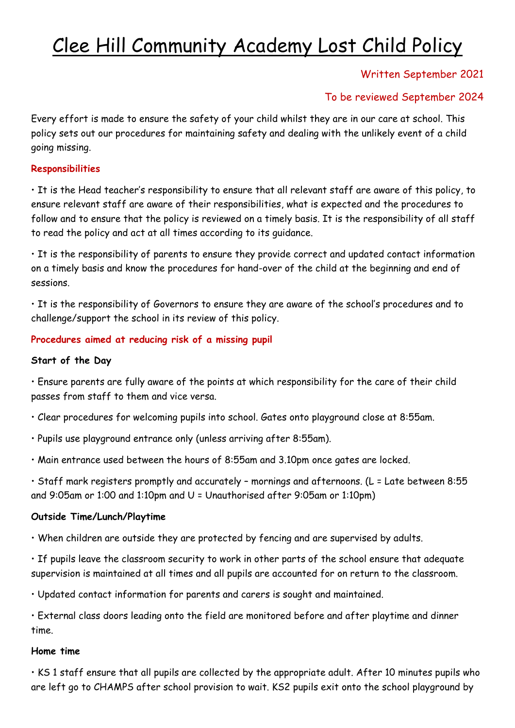# Clee Hill Community Academy Lost Child Policy

## Written September 2021

## To be reviewed September 2024

Every effort is made to ensure the safety of your child whilst they are in our care at school. This policy sets out our procedures for maintaining safety and dealing with the unlikely event of a child going missing.

#### **Responsibilities**

• It is the Head teacher's responsibility to ensure that all relevant staff are aware of this policy, to ensure relevant staff are aware of their responsibilities, what is expected and the procedures to follow and to ensure that the policy is reviewed on a timely basis. It is the responsibility of all staff to read the policy and act at all times according to its guidance.

• It is the responsibility of parents to ensure they provide correct and updated contact information on a timely basis and know the procedures for hand-over of the child at the beginning and end of sessions.

• It is the responsibility of Governors to ensure they are aware of the school's procedures and to challenge/support the school in its review of this policy.

### **Procedures aimed at reducing risk of a missing pupil**

#### **Start of the Day**

• Ensure parents are fully aware of the points at which responsibility for the care of their child passes from staff to them and vice versa.

- Clear procedures for welcoming pupils into school. Gates onto playground close at 8:55am.
- Pupils use playground entrance only (unless arriving after 8:55am).
- Main entrance used between the hours of 8:55am and 3.10pm once gates are locked.

• Staff mark registers promptly and accurately – mornings and afternoons. (L = Late between 8:55 and 9:05am or 1:00 and 1:10pm and U = Unauthorised after 9:05am or 1:10pm)

### **Outside Time/Lunch/Playtime**

• When children are outside they are protected by fencing and are supervised by adults.

• If pupils leave the classroom security to work in other parts of the school ensure that adequate supervision is maintained at all times and all pupils are accounted for on return to the classroom.

• Updated contact information for parents and carers is sought and maintained.

• External class doors leading onto the field are monitored before and after playtime and dinner time.

#### **Home time**

• KS 1 staff ensure that all pupils are collected by the appropriate adult. After 10 minutes pupils who are left go to CHAMPS after school provision to wait. KS2 pupils exit onto the school playground by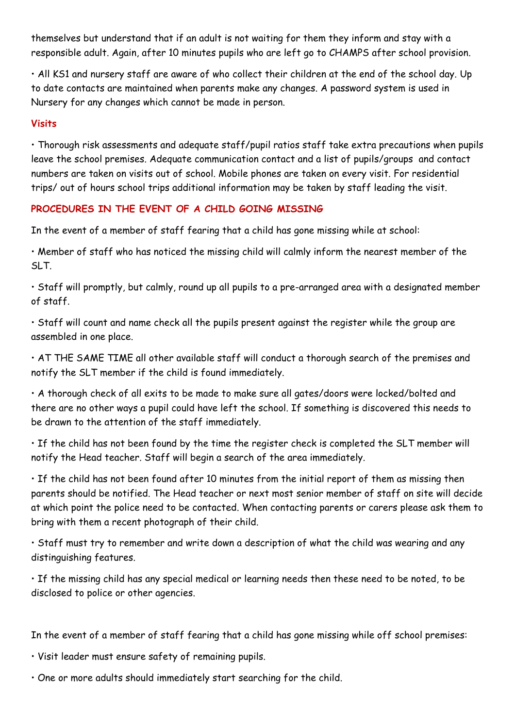themselves but understand that if an adult is not waiting for them they inform and stay with a responsible adult. Again, after 10 minutes pupils who are left go to CHAMPS after school provision.

• All KS1 and nursery staff are aware of who collect their children at the end of the school day. Up to date contacts are maintained when parents make any changes. A password system is used in Nursery for any changes which cannot be made in person.

#### **Visits**

• Thorough risk assessments and adequate staff/pupil ratios staff take extra precautions when pupils leave the school premises. Adequate communication contact and a list of pupils/groups and contact numbers are taken on visits out of school. Mobile phones are taken on every visit. For residential trips/ out of hours school trips additional information may be taken by staff leading the visit.

### **PROCEDURES IN THE EVENT OF A CHILD GOING MISSING**

In the event of a member of staff fearing that a child has gone missing while at school:

• Member of staff who has noticed the missing child will calmly inform the nearest member of the SLT.

• Staff will promptly, but calmly, round up all pupils to a pre-arranged area with a designated member of staff.

• Staff will count and name check all the pupils present against the register while the group are assembled in one place.

• AT THE SAME TIME all other available staff will conduct a thorough search of the premises and notify the SLT member if the child is found immediately.

• A thorough check of all exits to be made to make sure all gates/doors were locked/bolted and there are no other ways a pupil could have left the school. If something is discovered this needs to be drawn to the attention of the staff immediately.

• If the child has not been found by the time the register check is completed the SLT member will notify the Head teacher. Staff will begin a search of the area immediately.

• If the child has not been found after 10 minutes from the initial report of them as missing then parents should be notified. The Head teacher or next most senior member of staff on site will decide at which point the police need to be contacted. When contacting parents or carers please ask them to bring with them a recent photograph of their child.

• Staff must try to remember and write down a description of what the child was wearing and any distinguishing features.

• If the missing child has any special medical or learning needs then these need to be noted, to be disclosed to police or other agencies.

In the event of a member of staff fearing that a child has gone missing while off school premises:

• Visit leader must ensure safety of remaining pupils.

• One or more adults should immediately start searching for the child.